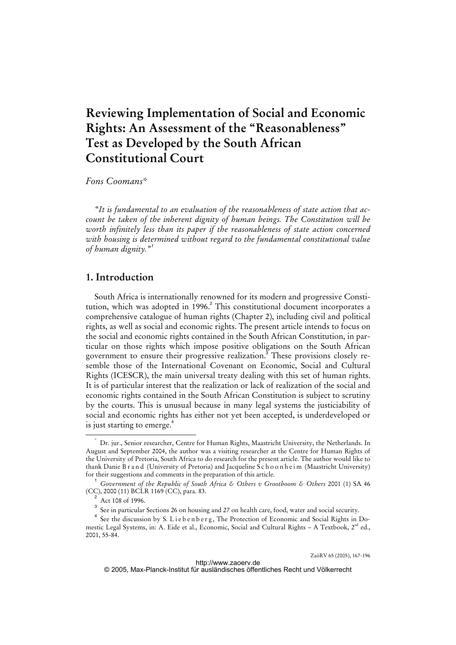# **Reviewing Implementation of Social and Economic Rights: An Assessment of the "Reasonableness" Test as Developed by the South African Constitutional Court**

*Fons Coomans\** 

*"It is fundamental to an evaluation of the reasonableness of state action that account be taken of the inherent dignity of human beings. The Constitution will be worth infinitely less than its paper if the reasonableness of state action concerned with housing is determined without regard to the fundamental constitutional value of human dignity."*<sup>1</sup>

# **1. Introduction**

South Africa is internationally renowned for its modern and progressive Constitution, which was adopted in 1996.<sup>2</sup> This constitutional document incorporates a comprehensive catalogue of human rights (Chapter 2), including civil and political rights, as well as social and economic rights. The present article intends to focus on the social and economic rights contained in the South African Constitution, in particular on those rights which impose positive obligations on the South African government to ensure their progressive realization.<sup>3</sup> These provisions closely resemble those of the International Covenant on Economic, Social and Cultural Rights (ICESCR), the main universal treaty dealing with this set of human rights. It is of particular interest that the realization or lack of realization of the social and economic rights contained in the South African Constitution is subject to scrutiny by the courts. This is unusual because in many legal systems the justiciability of social and economic rights has either not yet been accepted, is underdeveloped or is just starting to emerge.<sup>4</sup>

 <sup>\*</sup> Dr. jur., Senior researcher, Centre for Human Rights, Maastricht University, the Netherlands. In August and September 2004, the author was a visiting researcher at the Centre for Human Rights of the University of Pretoria, South Africa to do research for the present article. The author would like to thank Danie B r a n d (University of Pretoria) and Jacqueline S c h o o n h e i m (Maastricht University) for their suggestions and comments in the preparation of this article.

<sup>1</sup> *Government of the Republic of South Africa & Others v Grootboom & Others* 2001 (1) SA 46 (CC), 2000 (11) BCLR 1169 (CC), para. 83.

<sup>2</sup> Act 108 of 1996.

<sup>3</sup> See in particular Sections 26 on housing and 27 on health care, food, water and social security.

<sup>4</sup> See the discussion by S. Liebenberg, The Protection of Economic and Social Rights in Domestic Legal Systems, in: A. Eide et al., Economic, Social and Cultural Rights – A Textbook,  $2^{nd}$  ed., 2001, 55-84.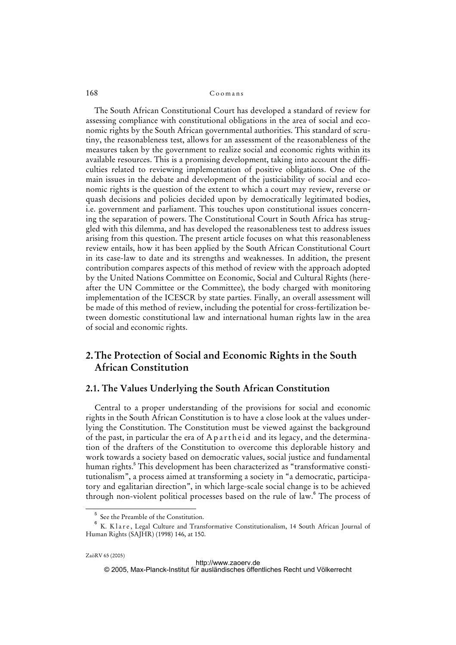### 168 Coomans

The South African Constitutional Court has developed a standard of review for assessing compliance with constitutional obligations in the area of social and economic rights by the South African governmental authorities. This standard of scrutiny, the reasonableness test, allows for an assessment of the reasonableness of the measures taken by the government to realize social and economic rights within its available resources. This is a promising development, taking into account the difficulties related to reviewing implementation of positive obligations. One of the main issues in the debate and development of the justiciability of social and economic rights is the question of the extent to which a court may review, reverse or quash decisions and policies decided upon by democratically legitimated bodies, i.e. government and parliament. This touches upon constitutional issues concerning the separation of powers. The Constitutional Court in South Africa has struggled with this dilemma, and has developed the reasonableness test to address issues arising from this question. The present article focuses on what this reasonableness review entails, how it has been applied by the South African Constitutional Court in its case-law to date and its strengths and weaknesses. In addition, the present contribution compares aspects of this method of review with the approach adopted by the United Nations Committee on Economic, Social and Cultural Rights (hereafter the UN Committee or the Committee), the body charged with monitoring implementation of the ICESCR by state parties. Finally, an overall assessment will be made of this method of review, including the potential for cross-fertilization between domestic constitutional law and international human rights law in the area of social and economic rights.

# **2. The Protection of Social and Economic Rights in the South African Constitution**

## **2.1. The Values Underlying the South African Constitution**

Central to a proper understanding of the provisions for social and economic rights in the South African Constitution is to have a close look at the values underlying the Constitution. The Constitution must be viewed against the background of the past, in particular the era of A p a r the id and its legacy, and the determination of the drafters of the Constitution to overcome this deplorable history and work towards a society based on democratic values, social justice and fundamental human rights.<sup>5</sup> This development has been characterized as "transformative constitutionalism", a process aimed at transforming a society in "a democratic, participatory and egalitarian direction", in which large-scale social change is to be achieved through non-violent political processes based on the rule of law.<sup>6</sup> The process of

 $\frac{1}{5}$ See the Preamble of the Constitution.

 $^6$  K. Klare, Legal Culture and Transformative Constitutionalism, 14 South African Journal of Human Rights (SAJHR) (1998) 146, at 150.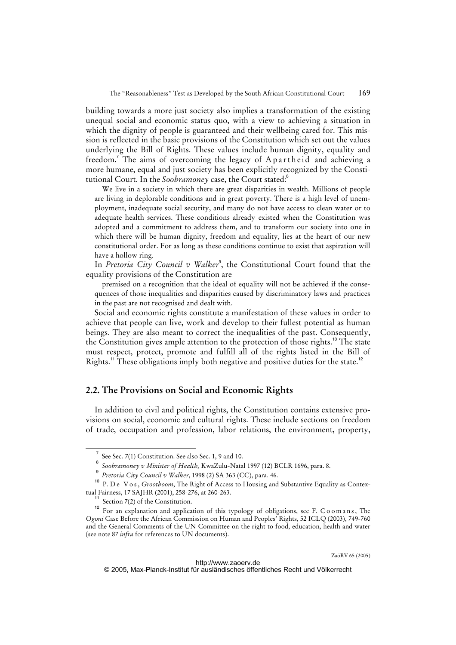building towards a more just society also implies a transformation of the existing unequal social and economic status quo, with a view to achieving a situation in which the dignity of people is guaranteed and their wellbeing cared for. This mission is reflected in the basic provisions of the Constitution which set out the values underlying the Bill of Rights. These values include human dignity, equality and freedom.<sup>7</sup> The aims of overcoming the legacy of Apartheid and achieving a more humane, equal and just society has been explicitly recognized by the Constitutional Court. In the *Soobramoney* case, the Court stated:<sup>8</sup>

We live in a society in which there are great disparities in wealth. Millions of people are living in deplorable conditions and in great poverty. There is a high level of unemployment, inadequate social security, and many do not have access to clean water or to adequate health services. These conditions already existed when the Constitution was adopted and a commitment to address them, and to transform our society into one in which there will be human dignity, freedom and equality, lies at the heart of our new constitutional order. For as long as these conditions continue to exist that aspiration will have a hollow ring.

In *Pretoria City Council v Walker<sup>9</sup>*, the Constitutional Court found that the equality provisions of the Constitution are

premised on a recognition that the ideal of equality will not be achieved if the consequences of those inequalities and disparities caused by discriminatory laws and practices in the past are not recognised and dealt with.

Social and economic rights constitute a manifestation of these values in order to achieve that people can live, work and develop to their fullest potential as human beings. They are also meant to correct the inequalities of the past. Consequently, the Constitution gives ample attention to the protection of those rights.<sup>10</sup> The state must respect, protect, promote and fulfill all of the rights listed in the Bill of Rights.<sup>11</sup> These obligations imply both negative and positive duties for the state.<sup>12</sup>

# **2.2. The Provisions on Social and Economic Rights**

In addition to civil and political rights, the Constitution contains extensive provisions on social, economic and cultural rights. These include sections on freedom of trade, occupation and profession, labor relations, the environment, property,

<sup>7</sup> See Sec. 7(1) Constitution. See also Sec. 1, 9 and 10.

<sup>8</sup> *Soobramoney v Minister of Health,* KwaZulu-Natal 1997 (12) BCLR 1696, para. 8.

<sup>9</sup> *Pretoria City Council v Walker*, 1998 (2) SA 363 (CC), para. 46.

<sup>&</sup>lt;sup>10</sup> P. D e V o s, *Grootboom*, The Right of Access to Housing and Substantive Equality as Contextual Fairness, 17 SAJHR (2001), 258-276, at 260-263.

 $11$  Section 7(2) of the Constitution.

For an explanation and application of this typology of obligations, see F. C o o m a n s, The *Ogoni* Case Before the African Commission on Human and Peoples' Rights, 52 ICLQ (2003), 749-760 and the General Comments of the UN Committee on the right to food, education, health and water (see note 87 *infra* for references to UN documents).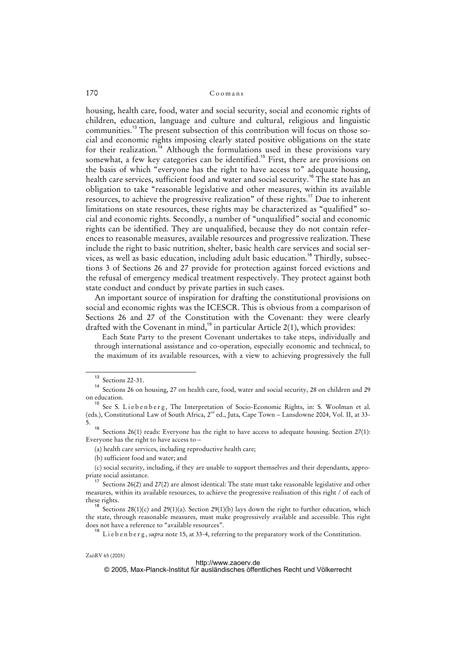housing, health care, food, water and social security, social and economic rights of children, education, language and culture and cultural, religious and linguistic communities.<sup>13</sup> The present subsection of this contribution will focus on those social and economic rights imposing clearly stated positive obligations on the state for their realization.<sup>14</sup> Although the formulations used in these provisions vary somewhat, a few key categories can be identified.<sup>15</sup> First, there are provisions on the basis of which "everyone has the right to have access to" adequate housing, health care services, sufficient food and water and social security.<sup>16</sup> The state has an obligation to take "reasonable legislative and other measures, within its available resources, to achieve the progressive realization" of these rights.<sup>17</sup> Due to inherent limitations on state resources, these rights may be characterized as "qualified" social and economic rights. Secondly, a number of "unqualified" social and economic rights can be identified. They are unqualified, because they do not contain references to reasonable measures, available resources and progressive realization. These include the right to basic nutrition, shelter, basic health care services and social services, as well as basic education, including adult basic education.<sup>18</sup> Thirdly, subsections 3 of Sections 26 and 27 provide for protection against forced evictions and the refusal of emergency medical treatment respectively. They protect against both state conduct and conduct by private parties in such cases.

An important source of inspiration for drafting the constitutional provisions on social and economic rights was the ICESCR. This is obvious from a comparison of Sections 26 and 27 of the Constitution with the Covenant: they were clearly drafted with the Covenant in mind,<sup>19</sup> in particular Article 2(1), which provides:

Each State Party to the present Covenant undertakes to take steps, individually and through international assistance and co-operation, especially economic and technical, to the maximum of its available resources, with a view to achieving progressively the full

#### <http://www.zaoerv.de>

© 2005, Max-Planck-Institut für ausländisches öffentliches Recht und Völkerrecht

 $\overline{13}$  Sections 22-31.

<sup>14</sup> Sections 26 on housing, 27 on health care, food, water and social security, 28 on children and 29 on education.

<sup>&</sup>lt;sup>15</sup> See S. Liebenberg, The Interpretation of Socio-Economic Rights, in: S. Woolman et al. (eds.), Constitutional Law of South Africa, 2<sup>nd</sup> ed., Juta, Cape Town – Lansdowne 2004, Vol. II, at 33-5.

Sections 26(1) reads: Everyone has the right to have access to adequate housing. Section 27(1): Everyone has the right to have access to –

<sup>(</sup>a) health care services, including reproductive health care;

<sup>(</sup>b) sufficient food and water; and

<sup>(</sup>c) social security, including, if they are unable to support themselves and their dependants, appropriate social assistance.

<sup>&</sup>lt;sup>17</sup> Sections 26(2) and 27(2) are almost identical: The state must take reasonable legislative and other measures, within its available resources, to achieve the progressive realisation of this right / of each of these rights.

<sup>18</sup> Sections 28(1)(c) and 29(1)(a). Section 29(1)(b) lays down the right to further education, which the state, through reasonable measures, must make progressively available and accessible. This right does not have a reference to "available resources".

<sup>&</sup>lt;sup>19</sup> Liebenberg, *supra* note 15, at 33-4, referring to the preparatory work of the Constitution.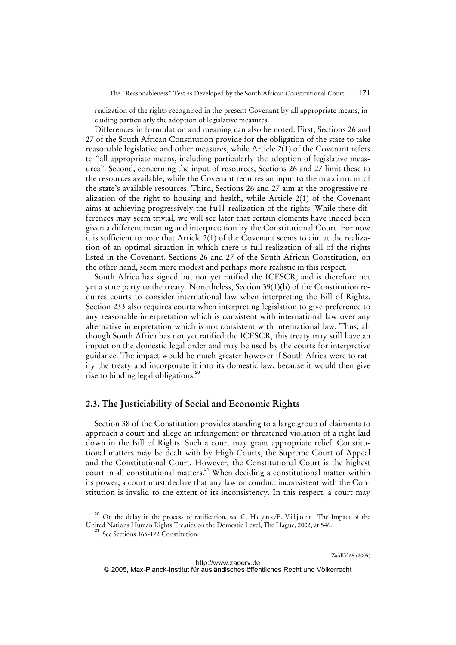realization of the rights recognised in the present Covenant by all appropriate means, including particularly the adoption of legislative measures.

Differences in formulation and meaning can also be noted. First, Sections 26 and 27 of the South African Constitution provide for the obligation of the state to take reasonable legislative and other measures, while Article 2(1) of the Covenant refers to "all appropriate means, including particularly the adoption of legislative measures". Second, concerning the input of resources, Sections 26 and 27 limit these to the resources available, while the Covenant requires an input to the maximum of the state's available resources. Third, Sections 26 and 27 aim at the progressive realization of the right to housing and health, while Article 2(1) of the Covenant aims at achieving progressively the full realization of the rights. While these differences may seem trivial, we will see later that certain elements have indeed been given a different meaning and interpretation by the Constitutional Court. For now it is sufficient to note that Article 2(1) of the Covenant seems to aim at the realization of an optimal situation in which there is full realization of all of the rights listed in the Covenant. Sections 26 and 27 of the South African Constitution, on the other hand, seem more modest and perhaps more realistic in this respect.

South Africa has signed but not yet ratified the ICESCR, and is therefore not yet a state party to the treaty. Nonetheless, Section 39(1)(b) of the Constitution requires courts to consider international law when interpreting the Bill of Rights. Section 233 also requires courts when interpreting legislation to give preference to any reasonable interpretation which is consistent with international law over any alternative interpretation which is not consistent with international law. Thus, although South Africa has not yet ratified the ICESCR, this treaty may still have an impact on the domestic legal order and may be used by the courts for interpretive guidance. The impact would be much greater however if South Africa were to ratify the treaty and incorporate it into its domestic law, because it would then give rise to binding legal obligations.<sup>20</sup>

### **2.3. The Justiciability of Social and Economic Rights**

Section 38 of the Constitution provides standing to a large group of claimants to approach a court and allege an infringement or threatened violation of a right laid down in the Bill of Rights. Such a court may grant appropriate relief. Constitutional matters may be dealt with by High Courts, the Supreme Court of Appeal and the Constitutional Court. However, the Constitutional Court is the highest court in all constitutional matters.<sup>21</sup> When deciding a constitutional matter within its power, a court must declare that any law or conduct inconsistent with the Constitution is invalid to the extent of its inconsistency. In this respect, a court may

On the delay in the process of ratification, see C. Heyns/F. Viljoen, The Impact of the United Nations Human Rights Treaties on the Domestic Level, The Hague, 2002, at 546.

<sup>&</sup>lt;sup>21</sup> See Sections 165-172 Constitution.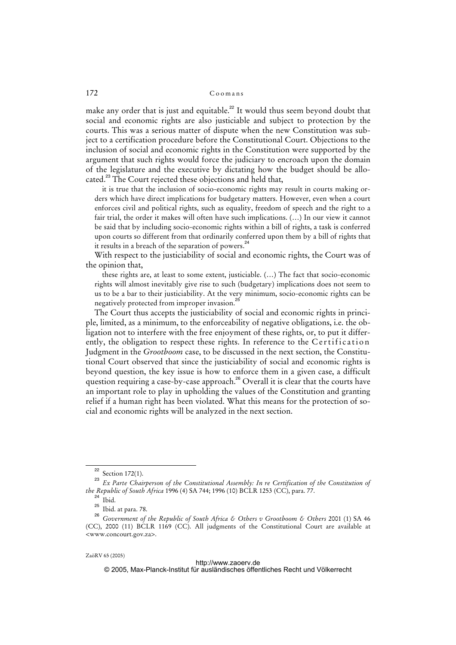make any order that is just and equitable.<sup>22</sup> It would thus seem beyond doubt that social and economic rights are also justiciable and subject to protection by the courts. This was a serious matter of dispute when the new Constitution was subject to a certification procedure before the Constitutional Court. Objections to the inclusion of social and economic rights in the Constitution were supported by the argument that such rights would force the judiciary to encroach upon the domain of the legislature and the executive by dictating how the budget should be allocated.<sup>23</sup> The Court rejected these objections and held that,

it is true that the inclusion of socio-economic rights may result in courts making orders which have direct implications for budgetary matters. However, even when a court enforces civil and political rights, such as equality, freedom of speech and the right to a fair trial, the order it makes will often have such implications. (…) In our view it cannot be said that by including socio-economic rights within a bill of rights, a task is conferred upon courts so different from that ordinarily conferred upon them by a bill of rights that it results in a breach of the separation of powers. $24$ 

With respect to the justiciability of social and economic rights, the Court was of the opinion that,

these rights are, at least to some extent, justiciable. (…) The fact that socio-economic rights will almost inevitably give rise to such (budgetary) implications does not seem to us to be a bar to their justiciability. At the very minimum, socio-economic rights can be negatively protected from improper invasion.<sup>25</sup>

The Court thus accepts the justiciability of social and economic rights in principle, limited, as a minimum, to the enforceability of negative obligations, i.e. the obligation not to interfere with the free enjoyment of these rights, or, to put it differently, the obligation to respect these rights. In reference to the Certification Judgment in the *Grootboom* case, to be discussed in the next section, the Constitutional Court observed that since the justiciability of social and economic rights is beyond question, the key issue is how to enforce them in a given case, a difficult question requiring a case-by-case approach.<sup>26</sup> Overall it is clear that the courts have an important role to play in upholding the values of the Constitution and granting relief if a human right has been violated. What this means for the protection of social and economic rights will be analyzed in the next section.

© 2005, Max-Planck-Institut für ausländisches öffentliches Recht und Völkerrecht

 $22$  Section 172(1).

<sup>&</sup>lt;sup>23</sup> Ex Parte Chairperson of the Constitutional Assembly: In re Certification of the Constitution of *the Republic of South Africa* 1996 (4) SA 744; 1996 (10) BCLR 1253 (CC), para. 77.

 $24$  Ibid.

<sup>25</sup> Ibid. at para. 78.

<sup>26</sup> *Government of the Republic of South Africa & Others v Grootboom & Others* 2001 (1) SA 46 (CC), 2000 (11) BCLR 1169 (CC). All judgments of the Constitutional Court are available at <www.concourt.gov.za>.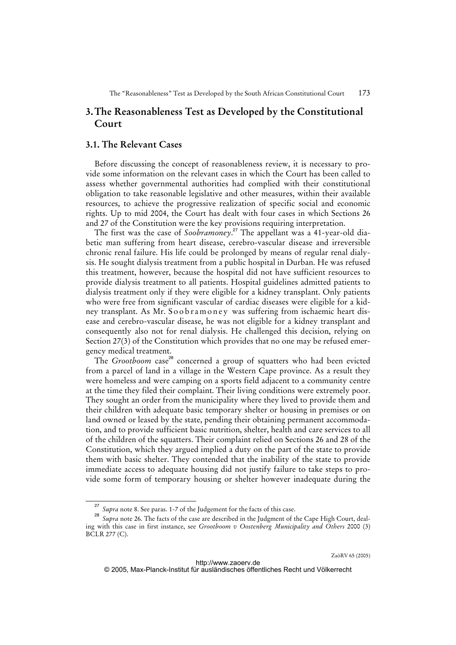# **3. The Reasonableness Test as Developed by the Constitutional Court**

## **3.1. The Relevant Cases**

Before discussing the concept of reasonableness review, it is necessary to provide some information on the relevant cases in which the Court has been called to assess whether governmental authorities had complied with their constitutional obligation to take reasonable legislative and other measures, within their available resources, to achieve the progressive realization of specific social and economic rights. Up to mid 2004, the Court has dealt with four cases in which Sections 26 and 27 of the Constitution were the key provisions requiring interpretation.

The first was the case of *Soobramoney*. <sup>27</sup> The appellant was a 41-year-old diabetic man suffering from heart disease, cerebro-vascular disease and irreversible chronic renal failure. His life could be prolonged by means of regular renal dialysis. He sought dialysis treatment from a public hospital in Durban. He was refused this treatment, however, because the hospital did not have sufficient resources to provide dialysis treatment to all patients. Hospital guidelines admitted patients to dialysis treatment only if they were eligible for a kidney transplant. Only patients who were free from significant vascular of cardiac diseases were eligible for a kidney transplant. As Mr. Soob ramoney was suffering from ischaemic heart disease and cerebro-vascular disease, he was not eligible for a kidney transplant and consequently also not for renal dialysis. He challenged this decision, relying on Section 27(3) of the Constitution which provides that no one may be refused emergency medical treatment.

The *Grootboom* case<sup>28</sup> concerned a group of squatters who had been evicted from a parcel of land in a village in the Western Cape province. As a result they were homeless and were camping on a sports field adjacent to a community centre at the time they filed their complaint. Their living conditions were extremely poor. They sought an order from the municipality where they lived to provide them and their children with adequate basic temporary shelter or housing in premises or on land owned or leased by the state, pending their obtaining permanent accommodation, and to provide sufficient basic nutrition, shelter, health and care services to all of the children of the squatters. Their complaint relied on Sections 26 and 28 of the Constitution, which they argued implied a duty on the part of the state to provide them with basic shelter. They contended that the inability of the state to provide immediate access to adequate housing did not justify failure to take steps to provide some form of temporary housing or shelter however inadequate during the

 $\frac{1}{27}$ *Supra* note 8. See paras. 1-7 of the Judgement for the facts of this case.

<sup>28</sup> *Supra* note 26. The facts of the case are described in the Judgment of the Cape High Court, dealing with this case in first instance, see *Grootboom v Oostenberg Municipality and Others* 2000 (3) BCLR 277 (C).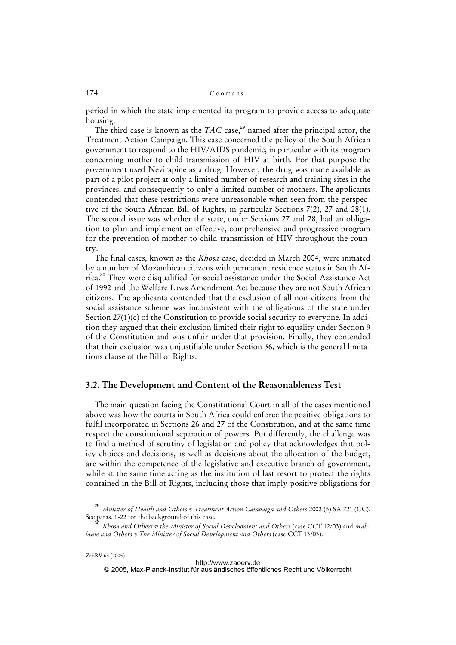period in which the state implemented its program to provide access to adequate housing.

The third case is known as the *TAC* case,<sup>29</sup> named after the principal actor, the Treatment Action Campaign. This case concerned the policy of the South African government to respond to the HIV/AIDS pandemic, in particular with its program concerning mother-to-child-transmission of HIV at birth. For that purpose the government used Nevirapine as a drug. However, the drug was made available as part of a pilot project at only a limited number of research and training sites in the provinces, and consequently to only a limited number of mothers. The applicants contended that these restrictions were unreasonable when seen from the perspective of the South African Bill of Rights, in particular Sections 7(2), 27 and 28(1). The second issue was whether the state, under Sections 27 and 28, had an obligation to plan and implement an effective, comprehensive and progressive program for the prevention of mother-to-child-transmission of HIV throughout the country.

The final cases, known as the *Khosa* case, decided in March 2004, were initiated by a number of Mozambican citizens with permanent residence status in South Africa.<sup>30</sup> They were disqualified for social assistance under the Social Assistance Act of 1992 and the Welfare Laws Amendment Act because they are not South African citizens. The applicants contended that the exclusion of all non-citizens from the social assistance scheme was inconsistent with the obligations of the state under Section 27(1)(c) of the Constitution to provide social security to everyone. In addition they argued that their exclusion limited their right to equality under Section 9 of the Constitution and was unfair under that provision. Finally, they contended that their exclusion was unjustifiable under Section 36, which is the general limitations clause of the Bill of Rights.

# **3.2. The Development and Content of the Reasonableness Test**

The main question facing the Constitutional Court in all of the cases mentioned above was how the courts in South Africa could enforce the positive obligations to fulfil incorporated in Sections 26 and 27 of the Constitution, and at the same time respect the constitutional separation of powers. Put differently, the challenge was to find a method of scrutiny of legislation and policy that acknowledges that policy choices and decisions, as well as decisions about the allocation of the budget, are within the competence of the legislative and executive branch of government, while at the same time acting as the institution of last resort to protect the rights contained in the Bill of Rights, including those that imply positive obligations for

 $\frac{1}{29}$  *Minister of Health and Others v Treatment Action Campaign and Others* 2002 (5) SA 721 (CC). See paras. 1-22 for the background of this case.

<sup>30</sup> *Khosa and Others v the Minister of Social Development and Others* (case CCT 12/03) and *Mahlaule and Others v The Minister of Social Development and Others* (case CCT 13/03).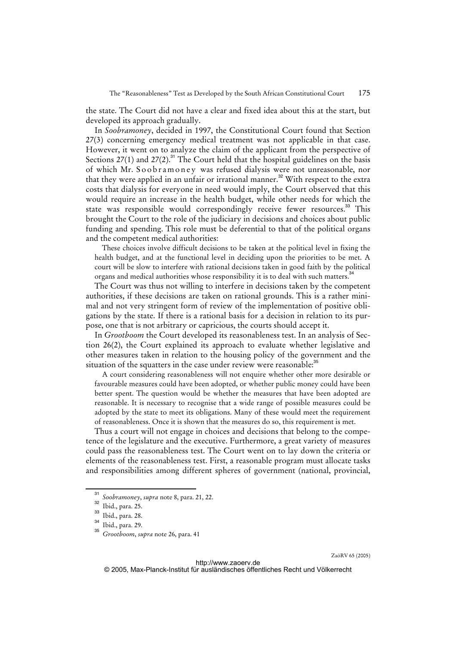the state. The Court did not have a clear and fixed idea about this at the start, but developed its approach gradually.

In *Soobramoney*, decided in 1997, the Constitutional Court found that Section 27(3) concerning emergency medical treatment was not applicable in that case. However, it went on to analyze the claim of the applicant from the perspective of Sections 27(1) and 27(2).<sup>31</sup> The Court held that the hospital guidelines on the basis of which Mr. Soob r a m on ey was refused dialysis were not unreasonable, nor that they were applied in an unfair or irrational manner.<sup>32</sup> With respect to the extra costs that dialysis for everyone in need would imply, the Court observed that this would require an increase in the health budget, while other needs for which the state was responsible would correspondingly receive fewer resources.<sup>33</sup> This brought the Court to the role of the judiciary in decisions and choices about public funding and spending. This role must be deferential to that of the political organs and the competent medical authorities:

These choices involve difficult decisions to be taken at the political level in fixing the health budget, and at the functional level in deciding upon the priorities to be met. A court will be slow to interfere with rational decisions taken in good faith by the political organs and medical authorities whose responsibility it is to deal with such matters.<sup>34</sup>

The Court was thus not willing to interfere in decisions taken by the competent authorities, if these decisions are taken on rational grounds. This is a rather minimal and not very stringent form of review of the implementation of positive obligations by the state. If there is a rational basis for a decision in relation to its purpose, one that is not arbitrary or capricious, the courts should accept it.

In *Grootboom* the Court developed its reasonableness test. In an analysis of Section 26(2), the Court explained its approach to evaluate whether legislative and other measures taken in relation to the housing policy of the government and the situation of the squatters in the case under review were reasonable:<sup>35</sup>

A court considering reasonableness will not enquire whether other more desirable or favourable measures could have been adopted, or whether public money could have been better spent. The question would be whether the measures that have been adopted are reasonable. It is necessary to recognise that a wide range of possible measures could be adopted by the state to meet its obligations. Many of these would meet the requirement of reasonableness. Once it is shown that the measures do so, this requirement is met.

Thus a court will not engage in choices and decisions that belong to the competence of the legislature and the executive. Furthermore, a great variety of measures could pass the reasonableness test. The Court went on to lay down the criteria or elements of the reasonableness test. First, a reasonable program must allocate tasks and responsibilities among different spheres of government (national, provincial,

<sup>31</sup> *Soobramoney*, *supra* note 8, para. 21, 22.

Ibid., para. 25.

 $\frac{33}{34}$  Ibid., para. 28.

 $35$  Ibid., para. 29.

<sup>35</sup> *Grootboom*, *supra* note 26, para. 41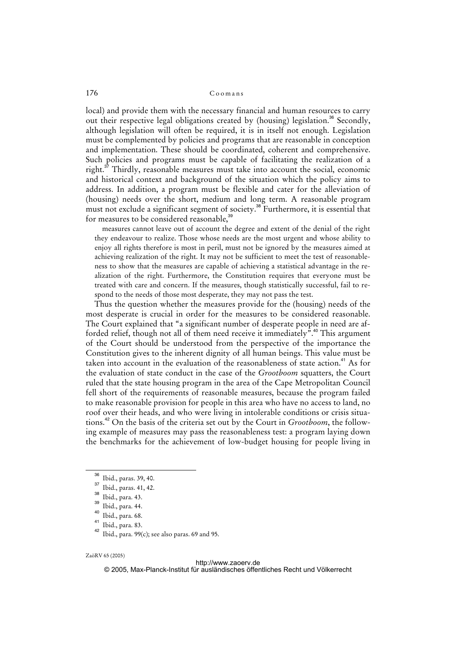local) and provide them with the necessary financial and human resources to carry out their respective legal obligations created by (housing) legislation.<sup>36</sup> Secondly, although legislation will often be required, it is in itself not enough. Legislation must be complemented by policies and programs that are reasonable in conception and implementation. These should be coordinated, coherent and comprehensive. Such policies and programs must be capable of facilitating the realization of a right. $37$  Thirdly, reasonable measures must take into account the social, economic and historical context and background of the situation which the policy aims to address. In addition, a program must be flexible and cater for the alleviation of (housing) needs over the short, medium and long term. A reasonable program must not exclude a significant segment of society.<sup>38</sup> Furthermore, it is essential that for measures to be considered reasonable.<sup>39</sup>

measures cannot leave out of account the degree and extent of the denial of the right they endeavour to realize. Those whose needs are the most urgent and whose ability to enjoy all rights therefore is most in peril, must not be ignored by the measures aimed at achieving realization of the right. It may not be sufficient to meet the test of reasonableness to show that the measures are capable of achieving a statistical advantage in the realization of the right. Furthermore, the Constitution requires that everyone must be treated with care and concern. If the measures, though statistically successful, fail to respond to the needs of those most desperate, they may not pass the test.

Thus the question whether the measures provide for the (housing) needs of the most desperate is crucial in order for the measures to be considered reasonable. The Court explained that "a significant number of desperate people in need are afforded relief, though not all of them need receive it immediately<sup>".40</sup> This argument of the Court should be understood from the perspective of the importance the Constitution gives to the inherent dignity of all human beings. This value must be taken into account in the evaluation of the reasonableness of state action.<sup>41</sup> As for the evaluation of state conduct in the case of the *Grootboom* squatters, the Court ruled that the state housing program in the area of the Cape Metropolitan Council fell short of the requirements of reasonable measures, because the program failed to make reasonable provision for people in this area who have no access to land, no roof over their heads, and who were living in intolerable conditions or crisis situations.<sup>42</sup> On the basis of the criteria set out by the Court in *Grootboom*, the following example of measures may pass the reasonableness test: a program laying down the benchmarks for the achievement of low-budget housing for people living in

<sup>36</sup> Ibid., paras. 39, 40.

<sup>37</sup> Ibid., paras. 41, 42.

<sup>38</sup> Ibid., para. 43.

 $\frac{39}{40}$  Ibid., para. 44.

 $^{40}$  Ibid., para. 68.

Ibid., para. 83.

Ibid., para. 99(c); see also paras. 69 and 95.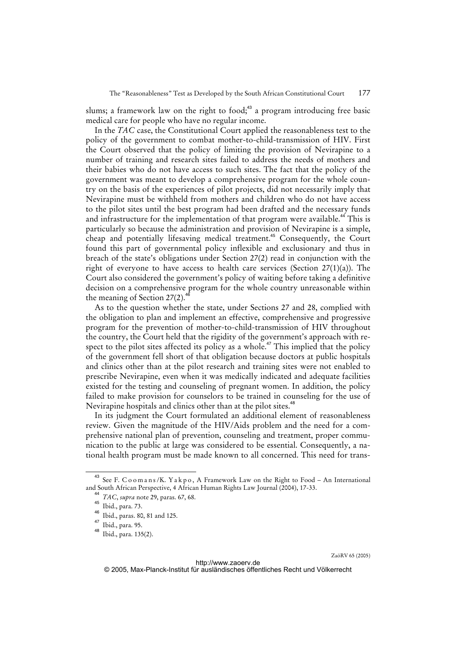slums; a framework law on the right to food; $43$  a program introducing free basic medical care for people who have no regular income.

In the *TAC* case, the Constitutional Court applied the reasonableness test to the policy of the government to combat mother-to-child-transmission of HIV. First the Court observed that the policy of limiting the provision of Nevirapine to a number of training and research sites failed to address the needs of mothers and their babies who do not have access to such sites. The fact that the policy of the government was meant to develop a comprehensive program for the whole country on the basis of the experiences of pilot projects, did not necessarily imply that Nevirapine must be withheld from mothers and children who do not have access to the pilot sites until the best program had been drafted and the necessary funds and infrastructure for the implementation of that program were available.<sup>44</sup> This is particularly so because the administration and provision of Nevirapine is a simple, cheap and potentially lifesaving medical treatment.<sup>45</sup> Consequently, the Court found this part of governmental policy inflexible and exclusionary and thus in breach of the state's obligations under Section 27(2) read in conjunction with the right of everyone to have access to health care services (Section 27(1)(a)). The Court also considered the government's policy of waiting before taking a definitive decision on a comprehensive program for the whole country unreasonable within the meaning of Section  $27(2)$ .<sup>46</sup>

As to the question whether the state, under Sections 27 and 28, complied with the obligation to plan and implement an effective, comprehensive and progressive program for the prevention of mother-to-child-transmission of HIV throughout the country, the Court held that the rigidity of the government's approach with respect to the pilot sites affected its policy as a whole.<sup>47</sup> This implied that the policy of the government fell short of that obligation because doctors at public hospitals and clinics other than at the pilot research and training sites were not enabled to prescribe Nevirapine, even when it was medically indicated and adequate facilities existed for the testing and counseling of pregnant women. In addition, the policy failed to make provision for counselors to be trained in counseling for the use of Nevirapine hospitals and clinics other than at the pilot sites.<sup>48</sup>

In its judgment the Court formulated an additional element of reasonableness review. Given the magnitude of the HIV/Aids problem and the need for a comprehensive national plan of prevention, counseling and treatment, proper communication to the public at large was considered to be essential. Consequently, a national health program must be made known to all concerned. This need for trans-

<sup>&</sup>lt;sup>43</sup> See F. C o o m a n s /K. Y a k p o, A Framework Law on the Right to Food - An International and South African Perspective, 4 African Human Rights Law Journal (2004), 17-33.

<sup>44</sup> *TAC*, *supra* note 29, paras. 67, 68.

<sup>45</sup> Ibid., para. 73.

<sup>46</sup> Ibid., paras. 80, 81 and 125.

 $\frac{47}{48}$  Ibid., para. 95.

Ibid., para. 135(2).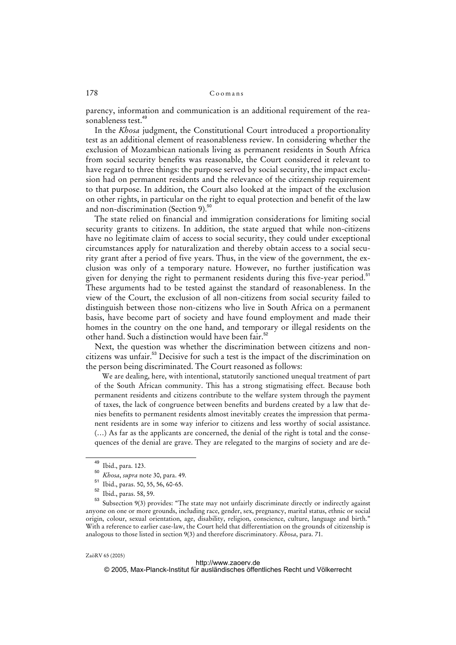### 178 Coomans

parency, information and communication is an additional requirement of the reasonableness test.<sup>49</sup>

In the *Khosa* judgment, the Constitutional Court introduced a proportionality test as an additional element of reasonableness review. In considering whether the exclusion of Mozambican nationals living as permanent residents in South Africa from social security benefits was reasonable, the Court considered it relevant to have regard to three things: the purpose served by social security, the impact exclusion had on permanent residents and the relevance of the citizenship requirement to that purpose. In addition, the Court also looked at the impact of the exclusion on other rights, in particular on the right to equal protection and benefit of the law and non-discrimination (Section 9).<sup>50</sup>

The state relied on financial and immigration considerations for limiting social security grants to citizens. In addition, the state argued that while non-citizens have no legitimate claim of access to social security, they could under exceptional circumstances apply for naturalization and thereby obtain access to a social security grant after a period of five years. Thus, in the view of the government, the exclusion was only of a temporary nature. However, no further justification was given for denying the right to permanent residents during this five-year period.<sup>51</sup> These arguments had to be tested against the standard of reasonableness. In the view of the Court, the exclusion of all non-citizens from social security failed to distinguish between those non-citizens who live in South Africa on a permanent basis, have become part of society and have found employment and made their homes in the country on the one hand, and temporary or illegal residents on the other hand. Such a distinction would have been fair.<sup>52</sup>

Next, the question was whether the discrimination between citizens and noncitizens was unfair.<sup>53</sup> Decisive for such a test is the impact of the discrimination on the person being discriminated. The Court reasoned as follows:

We are dealing, here, with intentional, statutorily sanctioned unequal treatment of part of the South African community. This has a strong stigmatising effect. Because both permanent residents and citizens contribute to the welfare system through the payment of taxes, the lack of congruence between benefits and burdens created by a law that denies benefits to permanent residents almost inevitably creates the impression that permanent residents are in some way inferior to citizens and less worthy of social assistance. (…) As far as the applicants are concerned, the denial of the right is total and the consequences of the denial are grave. They are relegated to the margins of society and are de-

 $\frac{49}{50}$  Ibid., para. 123.

*Khosa*, *supra* note 30, para. 49.

<sup>51</sup> Ibid., paras. 50, 55, 56, 60-65.

 $rac{52}{53}$  Ibid., paras. 58, 59.

Subsection 9(3) provides: "The state may not unfairly discriminate directly or indirectly against anyone on one or more grounds, including race, gender, sex, pregnancy, marital status, ethnic or social origin, colour, sexual orientation, age, disability, religion, conscience, culture, language and birth." With a reference to earlier case-law, the Court held that differentiation on the grounds of citizenship is analogous to those listed in section 9(3) and therefore discriminatory. *Khosa*, para. 71.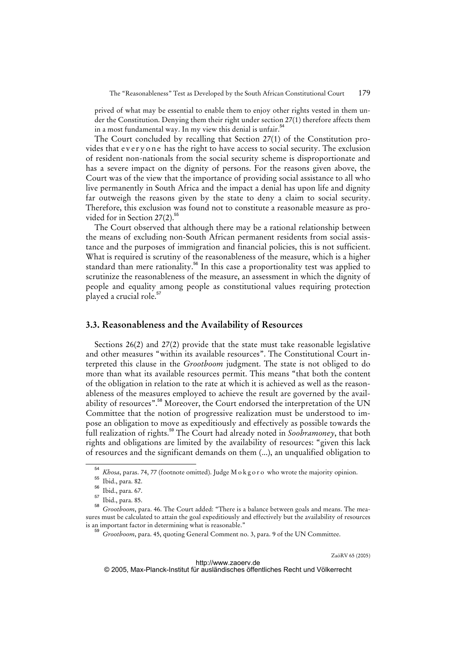prived of what may be essential to enable them to enjoy other rights vested in them under the Constitution. Denying them their right under section 27(1) therefore affects them in a most fundamental way. In my view this denial is unfair.<sup>54</sup>

The Court concluded by recalling that Section 27(1) of the Constitution provides that every one has the right to have access to social security. The exclusion of resident non-nationals from the social security scheme is disproportionate and has a severe impact on the dignity of persons. For the reasons given above, the Court was of the view that the importance of providing social assistance to all who live permanently in South Africa and the impact a denial has upon life and dignity far outweigh the reasons given by the state to deny a claim to social security. Therefore, this exclusion was found not to constitute a reasonable measure as provided for in Section 27(2).<sup>55</sup>

The Court observed that although there may be a rational relationship between the means of excluding non-South African permanent residents from social assistance and the purposes of immigration and financial policies, this is not sufficient. What is required is scrutiny of the reasonableness of the measure, which is a higher standard than mere rationality.<sup>56</sup> In this case a proportionality test was applied to scrutinize the reasonableness of the measure, an assessment in which the dignity of people and equality among people as constitutional values requiring protection played a crucial role.<sup>57</sup>

### **3.3. Reasonableness and the Availability of Resources**

Sections 26(2) and 27(2) provide that the state must take reasonable legislative and other measures "within its available resources". The Constitutional Court interpreted this clause in the *Grootboom* judgment. The state is not obliged to do more than what its available resources permit. This means "that both the content of the obligation in relation to the rate at which it is achieved as well as the reasonableness of the measures employed to achieve the result are governed by the availability of resources".<sup>58</sup> Moreover, the Court endorsed the interpretation of the UN Committee that the notion of progressive realization must be understood to impose an obligation to move as expeditiously and effectively as possible towards the full realization of rights.<sup>59</sup> The Court had already noted in *Soobramoney*, that both rights and obligations are limited by the availability of resources: "given this lack of resources and the significant demands on them (...), an unqualified obligation to

<sup>54</sup> *Khosa*, paras. 74, 77 (footnote omitted). Judge M o k g o r o who wrote the majority opinion.

<sup>55</sup> Ibid., para. 82.

 $\frac{56}{57}$  Ibid., para. 67.

Ibid., para. 85.

<sup>58</sup> *Grootboom*, para. 46. The Court added: "There is a balance between goals and means. The measures must be calculated to attain the goal expeditiously and effectively but the availability of resources is an important factor in determining what is reasonable."

<sup>59</sup> *Grootboom*, para. 45, quoting General Comment no. 3, para. 9 of the UN Committee.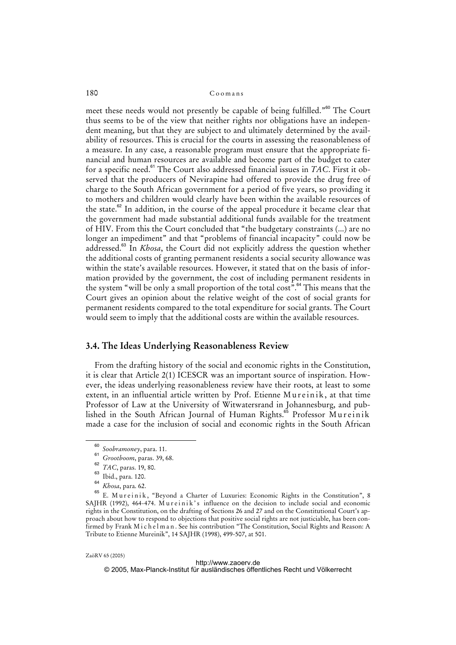### 180 Coomans

meet these needs would not presently be capable of being fulfilled."<sup>60</sup> The Court thus seems to be of the view that neither rights nor obligations have an independent meaning, but that they are subject to and ultimately determined by the availability of resources. This is crucial for the courts in assessing the reasonableness of a measure. In any case, a reasonable program must ensure that the appropriate financial and human resources are available and become part of the budget to cater for a specific need.<sup>61</sup> The Court also addressed financial issues in *TAC*. First it observed that the producers of Nevirapine had offered to provide the drug free of charge to the South African government for a period of five years, so providing it to mothers and children would clearly have been within the available resources of the state. $62$  In addition, in the course of the appeal procedure it became clear that the government had made substantial additional funds available for the treatment of HIV. From this the Court concluded that "the budgetary constraints (...) are no longer an impediment" and that "problems of financial incapacity" could now be addressed.<sup>63</sup> In *Khosa*, the Court did not explicitly address the question whether the additional costs of granting permanent residents a social security allowance was within the state's available resources. However, it stated that on the basis of information provided by the government, the cost of including permanent residents in the system "will be only a small proportion of the total  $cost$ ".<sup>64</sup> This means that the Court gives an opinion about the relative weight of the cost of social grants for permanent residents compared to the total expenditure for social grants. The Court would seem to imply that the additional costs are within the available resources.

# **3.4. The Ideas Underlying Reasonableness Review**

From the drafting history of the social and economic rights in the Constitution, it is clear that Article 2(1) ICESCR was an important source of inspiration. However, the ideas underlying reasonableness review have their roots, at least to some extent, in an influential article written by Prof. Etienne Mureinik, at that time Professor of Law at the University of Witwatersrand in Johannesburg, and published in the South African Journal of Human Rights.<sup>65</sup> Professor Mureinik made a case for the inclusion of social and economic rights in the South African

ZaöRV 65 (2005)

<sup>60</sup> *Soobramoney*, para. 11. 61

*Grootboom*, paras. 39, 68.

<sup>62</sup> *TAC*, paras. 19, 80.

<sup>&</sup>lt;sup>63</sup> Ibid., para. 120.

<sup>64</sup>  $\frac{64}{65}$  *Khosa*, para. 62.

E. Mureinik, "Beyond a Charter of Luxuries: Economic Rights in the Constitution", 8 SAJHR (1992), 464-474. Mureinik's influence on the decision to include social and economic rights in the Constitution, on the drafting of Sections 26 and 27 and on the Constitutional Court's approach about how to respond to objections that positive social rights are not justiciable, has been confirmed by Frank M i c h e l m a n . See his contribution "The Constitution, Social Rights and Reason: A Tribute to Etienne Mureinik", 14 SAJHR (1998), 499-507, at 501.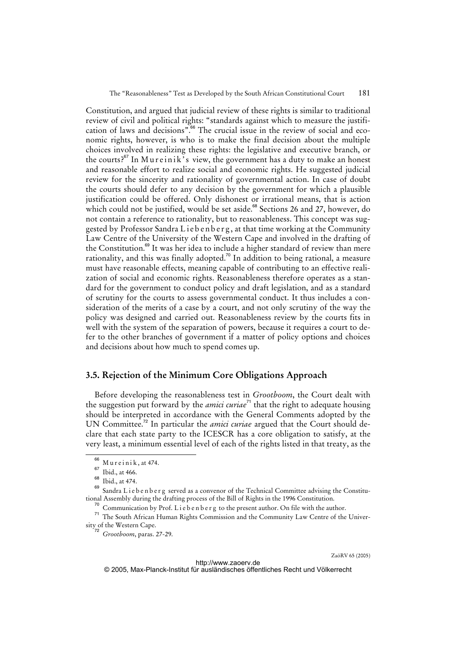Constitution, and argued that judicial review of these rights is similar to traditional review of civil and political rights: "standards against which to measure the justification of laws and decisions".<sup>66</sup> The crucial issue in the review of social and economic rights, however, is who is to make the final decision about the multiple choices involved in realizing these rights: the legislative and executive branch, or the courts? $67$  In Mureinik's view, the government has a duty to make an honest and reasonable effort to realize social and economic rights. He suggested judicial review for the sincerity and rationality of governmental action. In case of doubt the courts should defer to any decision by the government for which a plausible justification could be offered. Only dishonest or irrational means, that is action which could not be justified, would be set aside.<sup>68</sup> Sections 26 and 27, however, do not contain a reference to rationality, but to reasonableness. This concept was suggested by Professor Sandra Liebenberg, at that time working at the Community Law Centre of the University of the Western Cape and involved in the drafting of the Constitution.<sup>69</sup> It was her idea to include a higher standard of review than mere rationality, and this was finally adopted.<sup>70</sup> In addition to being rational, a measure must have reasonable effects, meaning capable of contributing to an effective realization of social and economic rights. Reasonableness therefore operates as a standard for the government to conduct policy and draft legislation, and as a standard of scrutiny for the courts to assess governmental conduct. It thus includes a consideration of the merits of a case by a court, and not only scrutiny of the way the policy was designed and carried out. Reasonableness review by the courts fits in well with the system of the separation of powers, because it requires a court to defer to the other branches of government if a matter of policy options and choices and decisions about how much to spend comes up.

# **3.5. Rejection of the Minimum Core Obligations Approach**

Before developing the reasonableness test in *Grootboom*, the Court dealt with the suggestion put forward by the *amici curiae*<sup>71</sup> that the right to adequate housing should be interpreted in accordance with the General Comments adopted by the UN Committee.<sup>72</sup> In particular the *amici curiae* argued that the Court should declare that each state party to the ICESCR has a core obligation to satisfy, at the very least, a minimum essential level of each of the rights listed in that treaty, as the

 $^{66}$  M u r e i n i k , at 474.

 $\frac{67}{68}$  Ibid., at 466.

 $\begin{array}{c} 68 \\ 69 \end{array}$  Ibid., at 474.

Sandra Lieben berg served as a convenor of the Technical Committee advising the Constitutional Assembly during the drafting process of the Bill of Rights in the 1996 Constitution.

 $70$  Communication by Prof. L i e b e n b e r g to the present author. On file with the author.

<sup>71</sup> The South African Human Rights Commission and the Community Law Centre of the University of the Western Cape.

<sup>72</sup> *Grootboom*, paras. 27-29.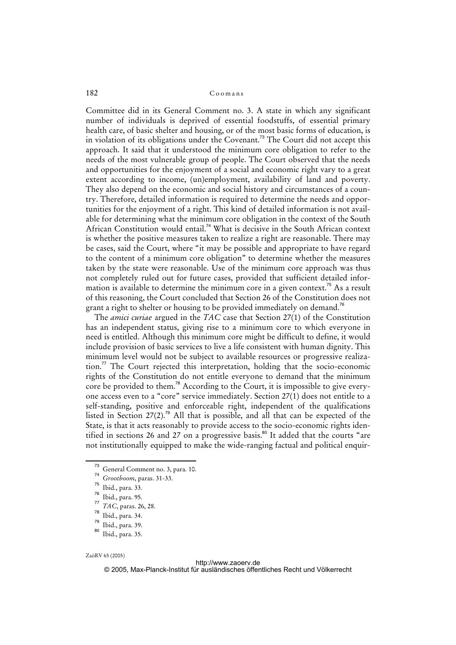### 182 Coomans

Committee did in its General Comment no. 3. A state in which any significant number of individuals is deprived of essential foodstuffs, of essential primary health care, of basic shelter and housing, or of the most basic forms of education, is in violation of its obligations under the Covenant.<sup>73</sup> The Court did not accept this approach. It said that it understood the minimum core obligation to refer to the needs of the most vulnerable group of people. The Court observed that the needs and opportunities for the enjoyment of a social and economic right vary to a great extent according to income, (un)employment, availability of land and poverty. They also depend on the economic and social history and circumstances of a country. Therefore, detailed information is required to determine the needs and opportunities for the enjoyment of a right. This kind of detailed information is not available for determining what the minimum core obligation in the context of the South African Constitution would entail.<sup>74</sup> What is decisive in the South African context is whether the positive measures taken to realize a right are reasonable. There may be cases, said the Court, where "it may be possible and appropriate to have regard to the content of a minimum core obligation" to determine whether the measures taken by the state were reasonable. Use of the minimum core approach was thus not completely ruled out for future cases, provided that sufficient detailed information is available to determine the minimum core in a given context.<sup>75</sup> As a result of this reasoning, the Court concluded that Section 26 of the Constitution does not grant a right to shelter or housing to be provided immediately on demand.<sup>76</sup>

The *amici curiae* argued in the *TAC* case that Section 27(1) of the Constitution has an independent status, giving rise to a minimum core to which everyone in need is entitled. Although this minimum core might be difficult to define, it would include provision of basic services to live a life consistent with human dignity. This minimum level would not be subject to available resources or progressive realization.<sup>77</sup> The Court rejected this interpretation, holding that the socio-economic rights of the Constitution do not entitle everyone to demand that the minimum core be provided to them.<sup>78</sup> According to the Court, it is impossible to give everyone access even to a "core" service immediately. Section 27(1) does not entitle to a self-standing, positive and enforceable right, independent of the qualifications listed in Section 27(2).<sup>79</sup> All that is possible, and all that can be expected of the State, is that it acts reasonably to provide access to the socio-economic rights identified in sections 26 and 27 on a progressive basis.<sup>80</sup> It added that the courts "are not institutionally equipped to make the wide-ranging factual and political enquir-

- General Comment no. 3, para. 10.
- 74  $7^4$  *Grootboom*, paras. 31-33.

- 77 <sup>77</sup> *TAC*, paras. 26, 28.
- $\frac{78}{79}$  Ibid., para. 34.
- $\frac{79}{80}$  Ibid., para. 39.

ZaöRV 65 (2005)

Ibid., para. 33.

Ibid., para. 95.

Ibid., para. 35.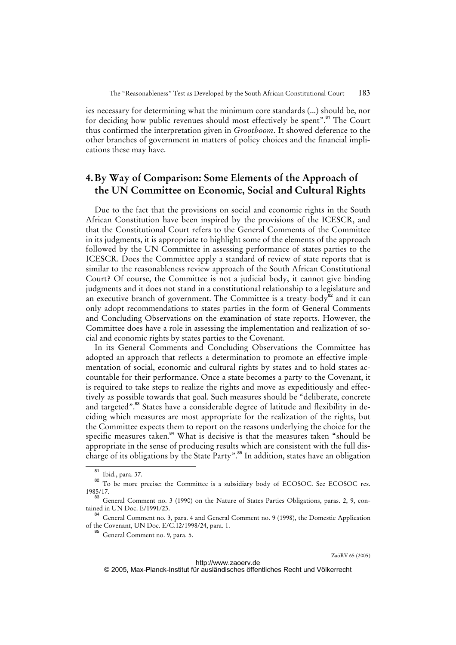ies necessary for determining what the minimum core standards (...) should be, nor for deciding how public revenues should most effectively be spent".<sup>81</sup> The Court thus confirmed the interpretation given in *Grootboom*. It showed deference to the other branches of government in matters of policy choices and the financial implications these may have.

# **4. By Way of Comparison: Some Elements of the Approach of the UN Committee on Economic, Social and Cultural Rights**

Due to the fact that the provisions on social and economic rights in the South African Constitution have been inspired by the provisions of the ICESCR, and that the Constitutional Court refers to the General Comments of the Committee in its judgments, it is appropriate to highlight some of the elements of the approach followed by the UN Committee in assessing performance of states parties to the ICESCR. Does the Committee apply a standard of review of state reports that is similar to the reasonableness review approach of the South African Constitutional Court? Of course, the Committee is not a judicial body, it cannot give binding judgments and it does not stand in a constitutional relationship to a legislature and an executive branch of government. The Committee is a treaty-body $82$  and it can only adopt recommendations to states parties in the form of General Comments and Concluding Observations on the examination of state reports. However, the Committee does have a role in assessing the implementation and realization of social and economic rights by states parties to the Covenant.

In its General Comments and Concluding Observations the Committee has adopted an approach that reflects a determination to promote an effective implementation of social, economic and cultural rights by states and to hold states accountable for their performance. Once a state becomes a party to the Covenant, it is required to take steps to realize the rights and move as expeditiously and effectively as possible towards that goal. Such measures should be "deliberate, concrete and targeted".<sup>83</sup> States have a considerable degree of latitude and flexibility in deciding which measures are most appropriate for the realization of the rights, but the Committee expects them to report on the reasons underlying the choice for the specific measures taken. $84$  What is decisive is that the measures taken "should be appropriate in the sense of producing results which are consistent with the full discharge of its obligations by the State Party".<sup>85</sup> In addition, states have an obligation

Ibid., para. 37.

<sup>82</sup> To be more precise: the Committee is a subsidiary body of ECOSOC. See ECOSOC res. 1985/17.

<sup>83</sup> General Comment no. 3 (1990) on the Nature of States Parties Obligations, paras. 2, 9, contained in UN Doc. E/1991/23.

<sup>&</sup>lt;sup>84</sup> General Comment no. 3, para. 4 and General Comment no. 9 (1998), the Domestic Application of the Covenant, UN Doc. E/C.12/1998/24, para. 1.

<sup>&</sup>lt;sup>85</sup> General Comment no. 9, para. 5.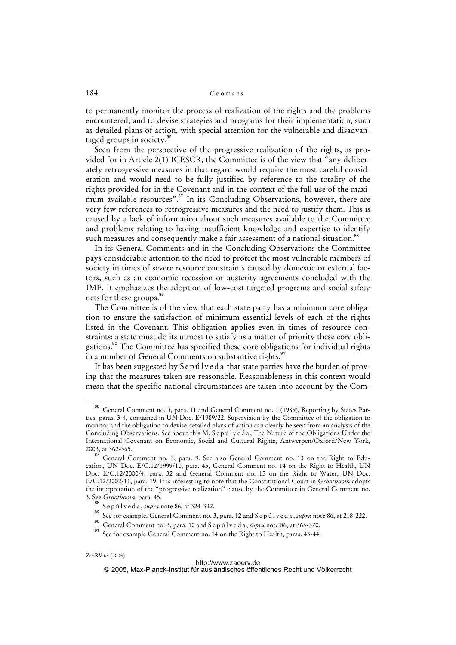to permanently monitor the process of realization of the rights and the problems encountered, and to devise strategies and programs for their implementation, such as detailed plans of action, with special attention for the vulnerable and disadvantaged groups in society.<sup>86</sup>

Seen from the perspective of the progressive realization of the rights, as provided for in Article 2(1) ICESCR, the Committee is of the view that "any deliberately retrogressive measures in that regard would require the most careful consideration and would need to be fully justified by reference to the totality of the rights provided for in the Covenant and in the context of the full use of the maximum available resources".<sup>87</sup> In its Concluding Observations, however, there are very few references to retrogressive measures and the need to justify them. This is caused by a lack of information about such measures available to the Committee and problems relating to having insufficient knowledge and expertise to identify such measures and consequently make a fair assessment of a national situation.<sup>88</sup>

In its General Comments and in the Concluding Observations the Committee pays considerable attention to the need to protect the most vulnerable members of society in times of severe resource constraints caused by domestic or external factors, such as an economic recession or austerity agreements concluded with the IMF. It emphasizes the adoption of low-cost targeted programs and social safety nets for these groups.<sup>89</sup>

The Committee is of the view that each state party has a minimum core obligation to ensure the satisfaction of minimum essential levels of each of the rights listed in the Covenant. This obligation applies even in times of resource constraints: a state must do its utmost to satisfy as a matter of priority these core obligations.<sup>90</sup> The Committee has specified these core obligations for individual rights in a number of General Comments on substantive rights.<sup>91</sup>

It has been suggested by Sep ulved a that state parties have the burden of proving that the measures taken are reasonable. Reasonableness in this context would mean that the specific national circumstances are taken into account by the Com-

#### <http://www.zaoerv.de>

© 2005, Max-Planck-Institut für ausländisches öffentliches Recht und Völkerrecht

<sup>86</sup> General Comment no. 3, para. 11 and General Comment no. 1 (1989), Reporting by States Parties, paras. 3-4, contained in UN Doc. E/1989/22. Supervision by the Committee of the obligation to monitor and the obligation to devise detailed plans of action can clearly be seen from an analysis of the Concluding Observations. See about this M. S e p ú l v e d a, The Nature of the Obligations Under the International Covenant on Economic, Social and Cultural Rights, Antwerpen/Oxford/New York, 2003, at 362-365.

<sup>87</sup> General Comment no. 3, para. 9. See also General Comment no. 13 on the Right to Education, UN Doc. E/C.12/1999/10, para. 45, General Comment no. 14 on the Right to Health, UN Doc. E/C.12/2000/4, para. 32 and General Comment no. 15 on the Right to Water, UN Doc. E/C.12/2002/11, para. 19. It is interesting to note that the Constitutional Court in *Grootboom* adopts the interpretation of the "progressive realization" clause by the Committee in General Comment no. 3. See *Grootboom*, para. 45.

<sup>88</sup> S e p ú l v e d a , *supra* note 86, at 324-332.

<sup>89</sup> See for example, General Comment no. 3, para. 12 and S e p ú l v e d a , *supra* note 86, at 218-222.

<sup>90</sup> General Comment no. 3, para. 10 and S e p ú l v e d a , *supra* note 86, at 365-370.

See for example General Comment no. 14 on the Right to Health, paras. 43-44.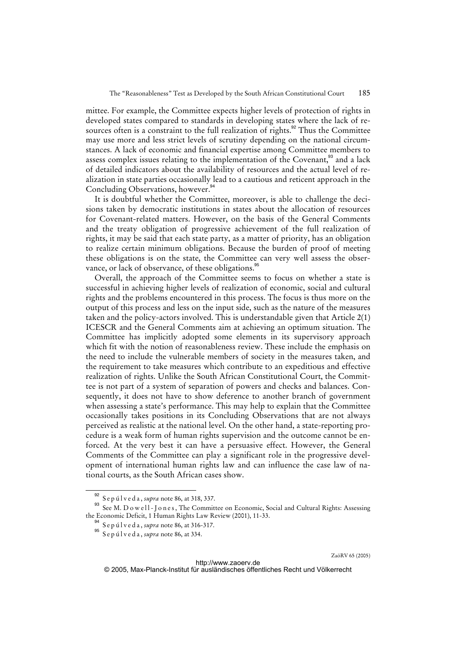mittee. For example, the Committee expects higher levels of protection of rights in developed states compared to standards in developing states where the lack of resources often is a constraint to the full realization of rights.<sup>92</sup> Thus the Committee may use more and less strict levels of scrutiny depending on the national circumstances. A lack of economic and financial expertise among Committee members to assess complex issues relating to the implementation of the Covenant,<sup>33</sup> and a lack of detailed indicators about the availability of resources and the actual level of realization in state parties occasionally lead to a cautious and reticent approach in the Concluding Observations, however.<sup>94</sup>

It is doubtful whether the Committee, moreover, is able to challenge the decisions taken by democratic institutions in states about the allocation of resources for Covenant-related matters. However, on the basis of the General Comments and the treaty obligation of progressive achievement of the full realization of rights, it may be said that each state party, as a matter of priority, has an obligation to realize certain minimum obligations. Because the burden of proof of meeting these obligations is on the state, the Committee can very well assess the observance, or lack of observance, of these obligations.<sup>95</sup>

Overall, the approach of the Committee seems to focus on whether a state is successful in achieving higher levels of realization of economic, social and cultural rights and the problems encountered in this process. The focus is thus more on the output of this process and less on the input side, such as the nature of the measures taken and the policy-actors involved. This is understandable given that Article 2(1) ICESCR and the General Comments aim at achieving an optimum situation. The Committee has implicitly adopted some elements in its supervisory approach which fit with the notion of reasonableness review. These include the emphasis on the need to include the vulnerable members of society in the measures taken, and the requirement to take measures which contribute to an expeditious and effective realization of rights. Unlike the South African Constitutional Court, the Committee is not part of a system of separation of powers and checks and balances. Consequently, it does not have to show deference to another branch of government when assessing a state's performance. This may help to explain that the Committee occasionally takes positions in its Concluding Observations that are not always perceived as realistic at the national level. On the other hand, a state-reporting procedure is a weak form of human rights supervision and the outcome cannot be enforced. At the very best it can have a persuasive effect. However, the General Comments of the Committee can play a significant role in the progressive development of international human rights law and can influence the case law of national courts, as the South African cases show.

<sup>&</sup>lt;sup>92</sup> S e p ú l v e d a , *supra* note 86, at 318, 337.

See M. D o w ell-J o n e s, The Committee on Economic, Social and Cultural Rights: Assessing the Economic Deficit, 1 Human Rights Law Review (2001), 11-33.

<sup>&</sup>lt;sup>94</sup> S e p ú l v e d a , *supra* note 86, at 316-317.

<sup>95</sup> S e p ú l v e d a , *supra* note 86, at 334.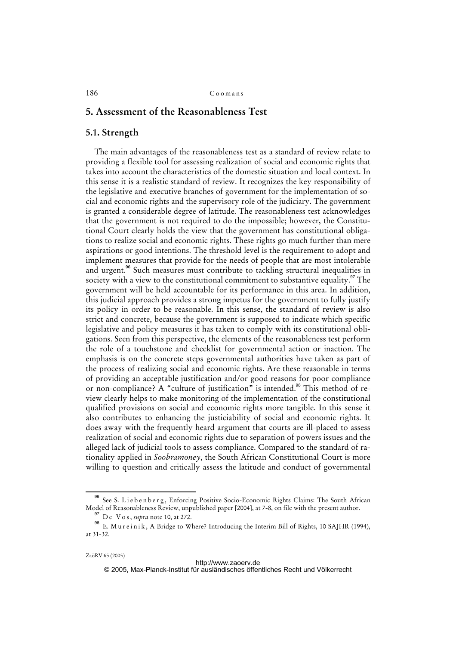# **5. Assessment of the Reasonableness Test**

### **5.1. Strength**

The main advantages of the reasonableness test as a standard of review relate to providing a flexible tool for assessing realization of social and economic rights that takes into account the characteristics of the domestic situation and local context. In this sense it is a realistic standard of review. It recognizes the key responsibility of the legislative and executive branches of government for the implementation of social and economic rights and the supervisory role of the judiciary. The government is granted a considerable degree of latitude. The reasonableness test acknowledges that the government is not required to do the impossible; however, the Constitutional Court clearly holds the view that the government has constitutional obligations to realize social and economic rights. These rights go much further than mere aspirations or good intentions. The threshold level is the requirement to adopt and implement measures that provide for the needs of people that are most intolerable and urgent.<sup>96</sup> Such measures must contribute to tackling structural inequalities in society with a view to the constitutional commitment to substantive equality.<sup>97</sup> The government will be held accountable for its performance in this area. In addition, this judicial approach provides a strong impetus for the government to fully justify its policy in order to be reasonable. In this sense, the standard of review is also strict and concrete, because the government is supposed to indicate which specific legislative and policy measures it has taken to comply with its constitutional obligations. Seen from this perspective, the elements of the reasonableness test perform the role of a touchstone and checklist for governmental action or inaction. The emphasis is on the concrete steps governmental authorities have taken as part of the process of realizing social and economic rights. Are these reasonable in terms of providing an acceptable justification and/or good reasons for poor compliance or non-compliance? A "culture of justification" is intended.<sup>98</sup> This method of review clearly helps to make monitoring of the implementation of the constitutional qualified provisions on social and economic rights more tangible. In this sense it also contributes to enhancing the justiciability of social and economic rights. It does away with the frequently heard argument that courts are ill-placed to assess realization of social and economic rights due to separation of powers issues and the alleged lack of judicial tools to assess compliance. Compared to the standard of rationality applied in *Soobramoney*, the South African Constitutional Court is more willing to question and critically assess the latitude and conduct of governmental

See S. Liebenberg, Enforcing Positive Socio-Economic Rights Claims: The South African Model of Reasonableness Review, unpublished paper [2004], at 7-8, on file with the present author.

<sup>&</sup>lt;sup>97</sup> De V o s, *supra* note 10, at 272.

<sup>98</sup> E. Mureinik, A Bridge to Where? Introducing the Interim Bill of Rights, 10 SAJHR (1994), at 31-32.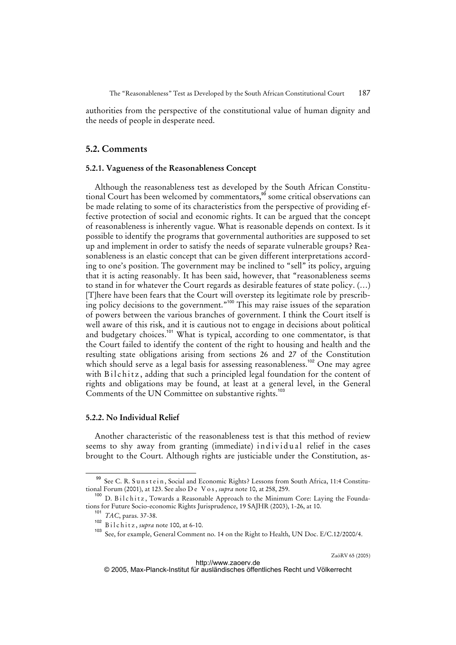authorities from the perspective of the constitutional value of human dignity and the needs of people in desperate need.

### **5.2. Comments**

### **5.2.1. Vagueness of the Reasonableness Concept**

Although the reasonableness test as developed by the South African Constitutional Court has been welcomed by commentators,<sup>99</sup> some critical observations can be made relating to some of its characteristics from the perspective of providing effective protection of social and economic rights. It can be argued that the concept of reasonableness is inherently vague. What is reasonable depends on context. Is it possible to identify the programs that governmental authorities are supposed to set up and implement in order to satisfy the needs of separate vulnerable groups? Reasonableness is an elastic concept that can be given different interpretations according to one's position. The government may be inclined to "sell" its policy, arguing that it is acting reasonably. It has been said, however, that "reasonableness seems to stand in for whatever the Court regards as desirable features of state policy. (…) [T]here have been fears that the Court will overstep its legitimate role by prescribing policy decisions to the government."<sup>100</sup> This may raise issues of the separation of powers between the various branches of government. I think the Court itself is well aware of this risk, and it is cautious not to engage in decisions about political and budgetary choices.<sup>101</sup> What is typical, according to one commentator, is that the Court failed to identify the content of the right to housing and health and the resulting state obligations arising from sections 26 and 27 of the Constitution which should serve as a legal basis for assessing reasonableness.<sup>102</sup> One may agree with Bilchitz, adding that such a principled legal foundation for the content of rights and obligations may be found, at least at a general level, in the General Comments of the UN Committee on substantive rights.<sup>103</sup>

### **5.2.2. No Individual Relief**

Another characteristic of the reasonableness test is that this method of review seems to shy away from granting (immediate) individual relief in the cases brought to the Court. Although rights are justiciable under the Constitution, as-

See C. R. Sunstein, Social and Economic Rights? Lessons from South Africa, 11:4 Constitutional Forum (2001), at 123. See also D e V o s , *supra* note 10, at 258, 259.

<sup>&</sup>lt;sup>100</sup> D. B i l c h i t z, Towards a Reasonable Approach to the Minimum Core: Laying the Foundations for Future Socio-economic Rights Jurisprudence, 19 SAJHR (2003), 1-26, at 10.

<sup>101</sup> *TAC*, paras. 37-38.

<sup>102</sup> B i l c h i t z, *supra* note 100, at 6-10.

See, for example, General Comment no. 14 on the Right to Health, UN Doc. E/C.12/2000/4.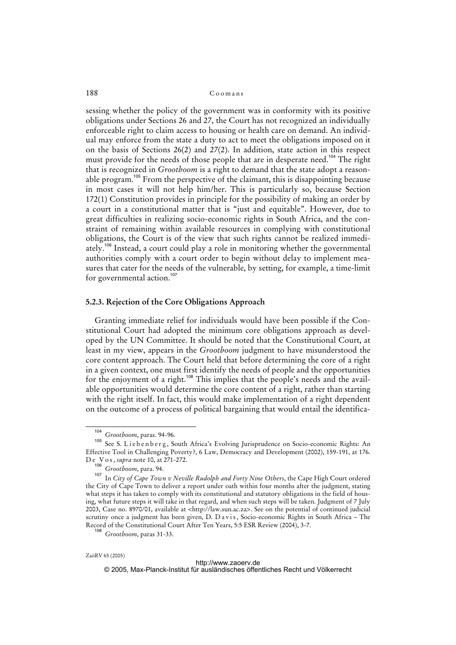sessing whether the policy of the government was in conformity with its positive obligations under Sections 26 and 27, the Court has not recognized an individually enforceable right to claim access to housing or health care on demand. An individual may enforce from the state a duty to act to meet the obligations imposed on it on the basis of Sections 26(2) and 27(2). In addition, state action in this respect must provide for the needs of those people that are in desperate need.<sup>104</sup> The right that is recognized in *Grootboom* is a right to demand that the state adopt a reasonable program.<sup>105</sup> From the perspective of the claimant, this is disappointing because in most cases it will not help him/her. This is particularly so, because Section 172(1) Constitution provides in principle for the possibility of making an order by a court in a constitutional matter that is "just and equitable". However, due to great difficulties in realizing socio-economic rights in South Africa, and the constraint of remaining within available resources in complying with constitutional obligations, the Court is of the view that such rights cannot be realized immediately.<sup>106</sup> Instead, a court could play a role in monitoring whether the governmental authorities comply with a court order to begin without delay to implement measures that cater for the needs of the vulnerable, by setting, for example, a time-limit for governmental action.<sup>107</sup>

#### **5.2.3. Rejection of the Core Obligations Approach**

Granting immediate relief for individuals would have been possible if the Constitutional Court had adopted the minimum core obligations approach as developed by the UN Committee. It should be noted that the Constitutional Court, at least in my view, appears in the *Grootboom* judgment to have misunderstood the core content approach. The Court held that before determining the core of a right in a given context, one must first identify the needs of people and the opportunities for the enjoyment of a right.<sup>108</sup> This implies that the people's needs and the available opportunities would determine the core content of a right, rather than starting with the right itself. In fact, this would make implementation of a right dependent on the outcome of a process of political bargaining that would entail the identifica-

<sup>108</sup> *Grootboom*, paras 31-33.

<sup>104</sup> *Grootboom*, paras. 94-96.

<sup>105</sup> See S. Liebenberg, South Africa's Evolving Jurisprudence on Socio-economic Rights: An Effective Tool in Challenging Poverty?, 6 Law, Democracy and Development (2002), 159-191, at 176. D e V o s , *supra* note 10, at 271-272.

<sup>106</sup> *Grootboom*, para. 94.

<sup>107</sup> In *City of Cape Town v Neville Rudolph and Forty Nine Others*, the Cape High Court ordered the City of Cape Town to deliver a report under oath within four months after the judgment, stating what steps it has taken to comply with its constitutional and statutory obligations in the field of housing, what future steps it will take in that regard, and when such steps will be taken. Judgment of 7 July 2003, Case no. 8970/01, available at [<http://law.sun.ac.za](http://law.sun.ac.za)>. See on the potential of continued judicial scrutiny once a judgment has been given, D. D a v i s, Socio-economic Rights in South Africa – The Record of the Constitutional Court After Ten Years, 5:5 ESR Review (2004), 3-7.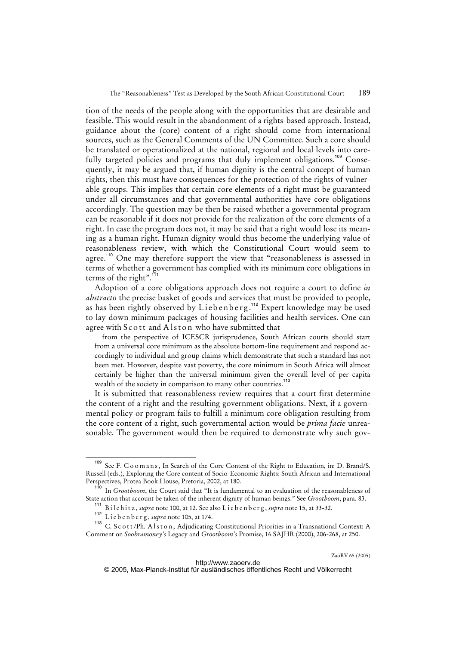tion of the needs of the people along with the opportunities that are desirable and feasible. This would result in the abandonment of a rights-based approach. Instead, guidance about the (core) content of a right should come from international sources, such as the General Comments of the UN Committee. Such a core should be translated or operationalized at the national, regional and local levels into carefully targeted policies and programs that duly implement obligations.<sup>109</sup> Consequently, it may be argued that, if human dignity is the central concept of human rights, then this must have consequences for the protection of the rights of vulnerable groups. This implies that certain core elements of a right must be guaranteed under all circumstances and that governmental authorities have core obligations accordingly. The question may be then be raised whether a governmental program can be reasonable if it does not provide for the realization of the core elements of a right. In case the program does not, it may be said that a right would lose its meaning as a human right. Human dignity would thus become the underlying value of reasonableness review, with which the Constitutional Court would seem to agree.<sup>110</sup> One may therefore support the view that "reasonableness is assessed in terms of whether a government has complied with its minimum core obligations in terms of the right".<sup>111</sup>

Adoption of a core obligations approach does not require a court to define *in abstracto* the precise basket of goods and services that must be provided to people, as has been rightly observed by Liebenberg.<sup>112</sup> Expert knowledge may be used to lay down minimum packages of housing facilities and health services. One can agree with Scott and Alston who have submitted that

from the perspective of ICESCR jurisprudence, South African courts should start from a universal core minimum as the absolute bottom-line requirement and respond accordingly to individual and group claims which demonstrate that such a standard has not been met. However, despite vast poverty, the core minimum in South Africa will almost certainly be higher than the universal minimum given the overall level of per capita wealth of the society in comparison to many other countries.<sup>113</sup>

It is submitted that reasonableness review requires that a court first determine the content of a right and the resulting government obligations. Next, if a governmental policy or program fails to fulfill a minimum core obligation resulting from the core content of a right, such governmental action would be *prima facie* unreasonable. The government would then be required to demonstrate why such gov-

See F. C o o m a n s, In Search of the Core Content of the Right to Education, in: D. Brand/S. Russell (eds.), Exploring the Core content of Socio-Economic Rights: South African and International Perspectives, Protea Book House, Pretoria, 2002, at 180.

<sup>&</sup>lt;sup>110</sup> In *Grootboom*, the Court said that "It is fundamental to an evaluation of the reasonableness of State action that account be taken of the inherent dignity of human beings." See *Grootboom*, para. 83.

<sup>111</sup> B i l c h i t z , *supra* note 100, at 12. See also L i e b e n b e r g , *supra* note 15, at 33-32.

<sup>112</sup> L i e b e n b e r g , *supra* note 105, at 174.

<sup>&</sup>lt;sup>113</sup> C. Scott/Ph. Alston, Adjudicating Constitutional Priorities in a Transnational Context: A Comment on *Soobramoney's* Legacy and *Grootboom's* Promise, 16 SAJHR (2000), 206-268, at 250.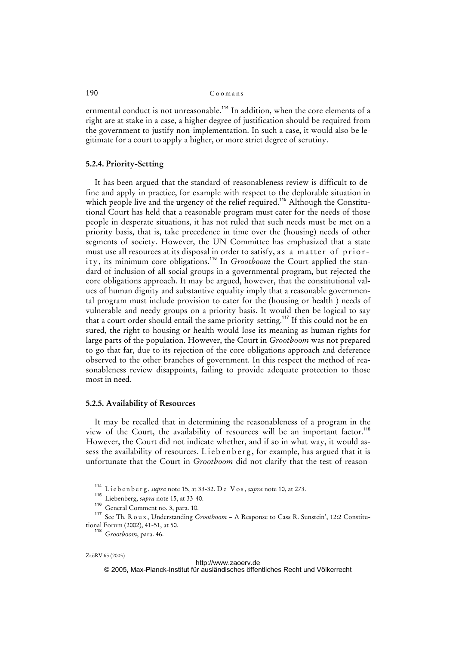ernmental conduct is not unreasonable.<sup>114</sup> In addition, when the core elements of a right are at stake in a case, a higher degree of justification should be required from the government to justify non-implementation. In such a case, it would also be legitimate for a court to apply a higher, or more strict degree of scrutiny.

### **5.2.4. Priority-Setting**

It has been argued that the standard of reasonableness review is difficult to define and apply in practice, for example with respect to the deplorable situation in which people live and the urgency of the relief required.<sup>115</sup> Although the Constitutional Court has held that a reasonable program must cater for the needs of those people in desperate situations, it has not ruled that such needs must be met on a priority basis, that is, take precedence in time over the (housing) needs of other segments of society. However, the UN Committee has emphasized that a state must use all resources at its disposal in order to satisfy, as a matter of priority, its minimum core obligations.<sup>116</sup> In *Grootboom* the Court applied the standard of inclusion of all social groups in a governmental program, but rejected the core obligations approach. It may be argued, however, that the constitutional values of human dignity and substantive equality imply that a reasonable governmental program must include provision to cater for the (housing or health ) needs of vulnerable and needy groups on a priority basis. It would then be logical to say that a court order should entail the same priority-setting.<sup>117</sup> If this could not be ensured, the right to housing or health would lose its meaning as human rights for large parts of the population. However, the Court in *Grootboom* was not prepared to go that far, due to its rejection of the core obligations approach and deference observed to the other branches of government. In this respect the method of reasonableness review disappoints, failing to provide adequate protection to those most in need.

#### **5.2.5. Availability of Resources**

It may be recalled that in determining the reasonableness of a program in the view of the Court, the availability of resources will be an important factor.<sup>118</sup> However, the Court did not indicate whether, and if so in what way, it would assess the availability of resources. Liebenberg, for example, has argued that it is unfortunate that the Court in *Grootboom* did not clarify that the test of reason-

<sup>114</sup> L i e b e n b e r g , *supra* note 15, at 33-32. D e V o s , *supra* note 10, at 273.

<sup>115</sup> Liebenberg, *supra* note 15, at 33-40.

<sup>116</sup> General Comment no. 3, para. 10.

<sup>&</sup>lt;sup>117</sup> See Th. R o u x, Understanding *Grootboom* – A Response to Cass R. Sunstein', 12:2 Constitutional Forum (2002), 41-51, at 50.

<sup>118</sup> *Grootboom*, para. 46.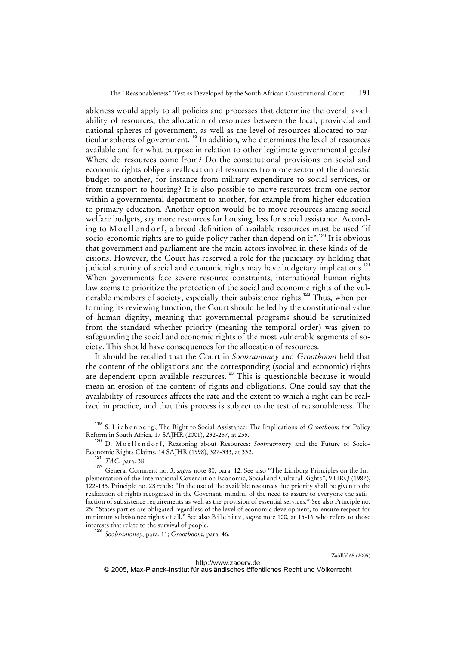ableness would apply to all policies and processes that determine the overall availability of resources, the allocation of resources between the local, provincial and national spheres of government, as well as the level of resources allocated to particular spheres of government.<sup>119</sup> In addition, who determines the level of resources available and for what purpose in relation to other legitimate governmental goals? Where do resources come from? Do the constitutional provisions on social and economic rights oblige a reallocation of resources from one sector of the domestic budget to another, for instance from military expenditure to social services, or from transport to housing? It is also possible to move resources from one sector within a governmental department to another, for example from higher education to primary education. Another option would be to move resources among social welfare budgets, say more resources for housing, less for social assistance. According to Moellendorf, a broad definition of available resources must be used "if socio-economic rights are to guide policy rather than depend on it".<sup>120</sup> It is obvious that government and parliament are the main actors involved in these kinds of decisions. However, the Court has reserved a role for the judiciary by holding that judicial scrutiny of social and economic rights may have budgetary implications.<sup>121</sup> When governments face severe resource constraints, international human rights law seems to prioritize the protection of the social and economic rights of the vulnerable members of society, especially their subsistence rights.<sup>122</sup> Thus, when performing its reviewing function, the Court should be led by the constitutional value of human dignity, meaning that governmental programs should be scrutinized from the standard whether priority (meaning the temporal order) was given to safeguarding the social and economic rights of the most vulnerable segments of society. This should have consequences for the allocation of resources.

It should be recalled that the Court in *Soobramoney* and *Grootboom* held that the content of the obligations and the corresponding (social and economic) rights are dependent upon available resources.<sup>123</sup> This is questionable because it would mean an erosion of the content of rights and obligations. One could say that the availability of resources affects the rate and the extent to which a right can be realized in practice, and that this process is subject to the test of reasonableness. The

<sup>&</sup>lt;sup>119</sup> S. Liebenberg, The Right to Social Assistance: The Implications of *Grootboom* for Policy Reform in South Africa, 17 SAJHR (2001), 232-257, at 255.

<sup>120</sup> D. Moellendorf, Reasoning about Resources: *Soobramoney* and the Future of Socio-Economic Rights Claims, 14 SAJHR (1998), 327-333, at 332.

<sup>121</sup> *TAC*, para. 38.

General Comment no. 3, *supra* note 80, para. 12. See also "The Limburg Principles on the Implementation of the International Covenant on Economic, Social and Cultural Rights", 9 HRQ (1987), 122-135. Principle no. 28 reads: "In the use of the available resources due priority shall be given to the realization of rights recognized in the Covenant, mindful of the need to assure to everyone the satisfaction of subsistence requirements as well as the provision of essential services." See also Principle no. 25: "States parties are obligated regardless of the level of economic development, to ensure respect for minimum subsistence rights of all." See also Bilchitz, *supra* note 100, at 15-16 who refers to those interests that relate to the survival of people.

<sup>123</sup> *Soobramoney,* para. 11; *Grootboom*, para. 46.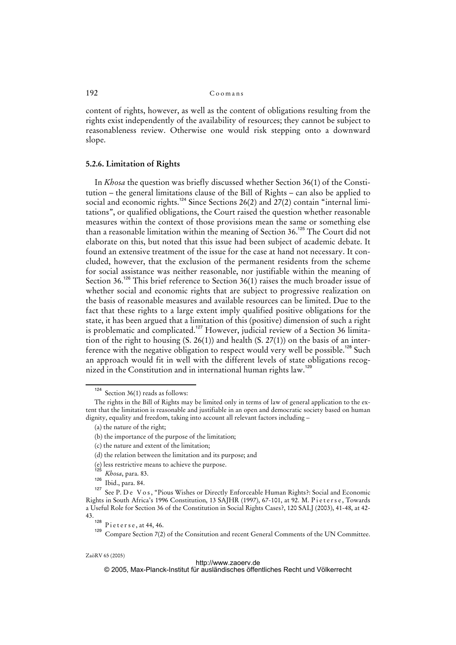content of rights, however, as well as the content of obligations resulting from the rights exist independently of the availability of resources; they cannot be subject to reasonableness review. Otherwise one would risk stepping onto a downward slope.

### **5.2.6. Limitation of Rights**

In *Khosa* the question was briefly discussed whether Section 36(1) of the Constitution – the general limitations clause of the Bill of Rights – can also be applied to social and economic rights.<sup>124</sup> Since Sections 26(2) and  $27(2)$  contain "internal limitations", or qualified obligations, the Court raised the question whether reasonable measures within the context of those provisions mean the same or something else than a reasonable limitation within the meaning of Section 36.<sup>125</sup> The Court did not elaborate on this, but noted that this issue had been subject of academic debate. It found an extensive treatment of the issue for the case at hand not necessary. It concluded, however, that the exclusion of the permanent residents from the scheme for social assistance was neither reasonable, nor justifiable within the meaning of Section 36.<sup>126</sup> This brief reference to Section 36(1) raises the much broader issue of whether social and economic rights that are subject to progressive realization on the basis of reasonable measures and available resources can be limited. Due to the fact that these rights to a large extent imply qualified positive obligations for the state, it has been argued that a limitation of this (positive) dimension of such a right is problematic and complicated.<sup>127</sup> However, judicial review of a Section 36 limitation of the right to housing  $(S. 26(1))$  and health  $(S. 27(1))$  on the basis of an interference with the negative obligation to respect would very well be possible.<sup>128</sup> Such an approach would fit in well with the different levels of state obligations recognized in the Constitution and in international human rights law.<sup>129</sup>

#### <http://www.zaoerv.de>

© 2005, Max-Planck-Institut für ausländisches öffentliches Recht und Völkerrecht

<sup>124</sup> Section 36(1) reads as follows:

The rights in the Bill of Rights may be limited only in terms of law of general application to the extent that the limitation is reasonable and justifiable in an open and democratic society based on human dignity, equality and freedom, taking into account all relevant factors including –

<sup>(</sup>a) the nature of the right;

<sup>(</sup>b) the importance of the purpose of the limitation;

<sup>(</sup>c) the nature and extent of the limitation;

<sup>(</sup>d) the relation between the limitation and its purpose; and

<sup>(</sup>e) less restrictive means to achieve the purpose.

<sup>125</sup> *Khosa*, para. 83.

 $\frac{126}{\text{Ibid., para. 84.}}$ 

See P. D e V o s, "Pious Wishes or Directly Enforceable Human Rights?: Social and Economic Rights in South Africa's 1996 Constitution, 13 SAJHR (1997), 67-101, at 92. M. Pieterse, Towards a Useful Role for Section 36 of the Constitution in Social Rights Cases?, 120 SALJ (2003), 41-48, at 42- 43.

Pieterse, at 44, 46.

Compare Section 7(2) of the Consitution and recent General Comments of the UN Committee.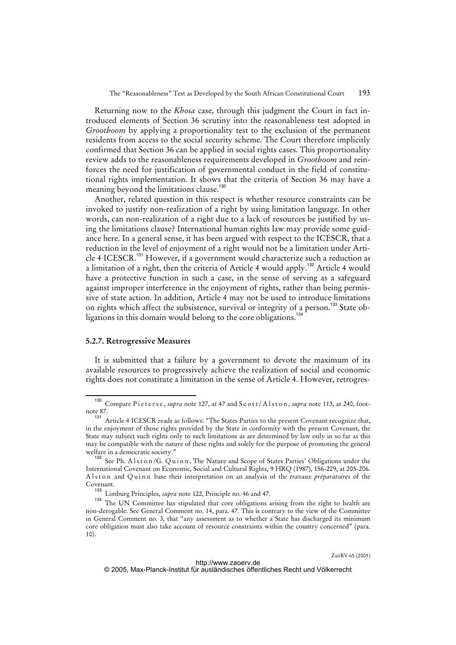Returning now to the *Khosa* case, through this judgment the Court in fact introduced elements of Section 36 scrutiny into the reasonableness test adopted in *Grootboom* by applying a proportionality test to the exclusion of the permanent residents from access to the social security scheme. The Court therefore implicitly confirmed that Section 36 can be applied in social rights cases. This proportionality review adds to the reasonableness requirements developed in *Grootboom* and reinforces the need for justification of governmental conduct in the field of constitutional rights implementation. It shows that the criteria of Section 36 may have a meaning beyond the limitations clause.<sup>130</sup>

Another, related question in this respect is whether resource constraints can be invoked to justify non-realization of a right by using limitation language. In other words, can non-realization of a right due to a lack of resources be justified by using the limitations clause? International human rights law may provide some guidance here. In a general sense, it has been argued with respect to the ICESCR, that a reduction in the level of enjoyment of a right would not be a limitation under Article 4 ICESCR.<sup>131</sup> However, if a government would characterize such a reduction as a limitation of a right, then the criteria of Article 4 would apply.<sup>132</sup> Article 4 would have a protective function in such a case, in the sense of serving as a safeguard against improper interference in the enjoyment of rights, rather than being permissive of state action. In addition, Article 4 may not be used to introduce limitations on rights which affect the subsistence, survival or integrity of a person.<sup>133</sup> State obligations in this domain would belong to the core obligations.<sup>134</sup>

### **5.2.7. Retrogressive Measures**

It is submitted that a failure by a government to devote the maximum of its available resources to progressively achieve the realization of social and economic rights does not constitute a limitation in the sense of Article 4. However, retrogres-

<sup>&</sup>lt;sup>130</sup> Compare Pieterse, *supra* note 127, at 47 and Scott/Alston, *supra* note 113, at 240, footnote 87.

Article 4 ICESCR reads as follows: "The States Parties to the present Covenant recognize that, in the enjoyment of those rights provided by the State in conformity with the present Covenant, the State may subject such rights only to such limitations as are determined by law only in so far as this may be compatible with the nature of these rights and solely for the purpose of promoting the general welfare in a democratic society."

<sup>&</sup>lt;sup>132</sup> See Ph. A l s t o n / G. Q u i n n, The Nature and Scope of States Parties' Obligations under the International Covenant on Economic, Social and Cultural Rights, 9 HRQ (1987), 156-229, at 205-206. Alston and Quinn base their interpretation on an analysis of the *travaux préparatoires* of the Covenant.

<sup>133&</sup>lt;br>Limburg Principles, *supra* note 122, Principle no. 46 and 47.<br><sup>134</sup> The LIN Committee has stimulated that ages abliations a

The UN Committee has stipulated that core obligations arising from the right to health are non-derogable. See General Comment no. 14, para. 47. This is contrary to the view of the Committee in General Comment no. 3, that "any assessment as to whether a State has discharged its minimum core obligation must also take account of resource constraints within the country concerned" (para. 10).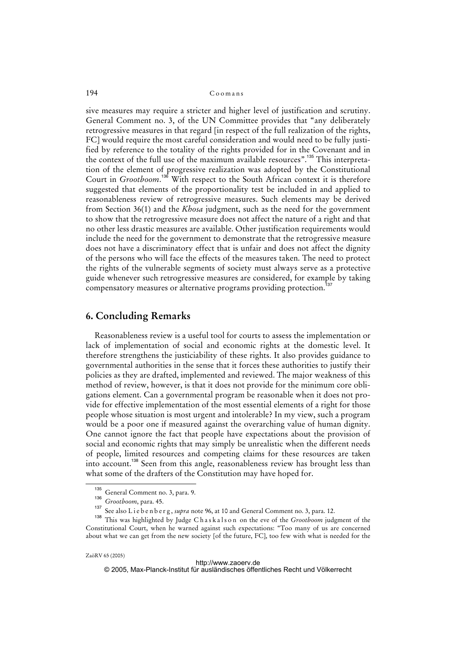sive measures may require a stricter and higher level of justification and scrutiny. General Comment no. 3, of the UN Committee provides that "any deliberately retrogressive measures in that regard [in respect of the full realization of the rights, FC] would require the most careful consideration and would need to be fully justified by reference to the totality of the rights provided for in the Covenant and in the context of the full use of the maximum available resources".<sup>135</sup> This interpretation of the element of progressive realization was adopted by the Constitutional Court in *Grootboom*. <sup>136</sup> With respect to the South African context it is therefore suggested that elements of the proportionality test be included in and applied to reasonableness review of retrogressive measures. Such elements may be derived from Section 36(1) and the *Khosa* judgment, such as the need for the government to show that the retrogressive measure does not affect the nature of a right and that no other less drastic measures are available. Other justification requirements would include the need for the government to demonstrate that the retrogressive measure does not have a discriminatory effect that is unfair and does not affect the dignity of the persons who will face the effects of the measures taken. The need to protect the rights of the vulnerable segments of society must always serve as a protective guide whenever such retrogressive measures are considered, for example by taking compensatory measures or alternative programs providing protection.<sup>137</sup>

### **6. Concluding Remarks**

Reasonableness review is a useful tool for courts to assess the implementation or lack of implementation of social and economic rights at the domestic level. It therefore strengthens the justiciability of these rights. It also provides guidance to governmental authorities in the sense that it forces these authorities to justify their policies as they are drafted, implemented and reviewed. The major weakness of this method of review, however, is that it does not provide for the minimum core obligations element. Can a governmental program be reasonable when it does not provide for effective implementation of the most essential elements of a right for those people whose situation is most urgent and intolerable? In my view, such a program would be a poor one if measured against the overarching value of human dignity. One cannot ignore the fact that people have expectations about the provision of social and economic rights that may simply be unrealistic when the different needs of people, limited resources and competing claims for these resources are taken into account.<sup>138</sup> Seen from this angle, reasonableness review has brought less than what some of the drafters of the Constitution may have hoped for.

<sup>135</sup> General Comment no. 3, para. 9.

<sup>136</sup> *Grootboom*, para. 45.

See also L i e b e n b e r g , *supra* note 96, at 10 and General Comment no. 3, para. 12.

<sup>138</sup> This was highlighted by Judge C h a s k a l s o n on the eve of the *Grootboom* judgment of the Constitutional Court, when he warned against such expectations: "Too many of us are concerned about what we can get from the new society [of the future, FC], too few with what is needed for the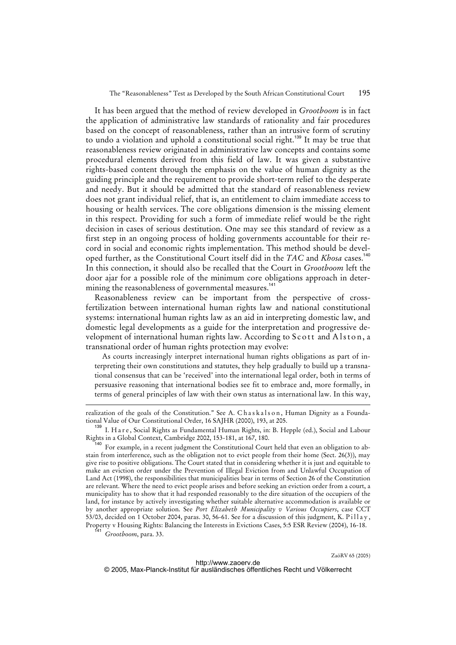It has been argued that the method of review developed in *Grootboom* is in fact the application of administrative law standards of rationality and fair procedures based on the concept of reasonableness, rather than an intrusive form of scrutiny to undo a violation and uphold a constitutional social right.<sup>139</sup> It may be true that reasonableness review originated in administrative law concepts and contains some procedural elements derived from this field of law. It was given a substantive rights-based content through the emphasis on the value of human dignity as the guiding principle and the requirement to provide short-term relief to the desperate and needy. But it should be admitted that the standard of reasonableness review does not grant individual relief, that is, an entitlement to claim immediate access to housing or health services. The core obligations dimension is the missing element in this respect. Providing for such a form of immediate relief would be the right decision in cases of serious destitution. One may see this standard of review as a first step in an ongoing process of holding governments accountable for their record in social and economic rights implementation. This method should be developed further, as the Constitutional Court itself did in the *TAC* and *Khosa* cases.<sup>140</sup> In this connection, it should also be recalled that the Court in *Grootboom* left the door ajar for a possible role of the minimum core obligations approach in determining the reasonableness of governmental measures.<sup>141</sup>

Reasonableness review can be important from the perspective of crossfertilization between international human rights law and national constitutional systems: international human rights law as an aid in interpreting domestic law, and domestic legal developments as a guide for the interpretation and progressive development of international human rights law. According to Scott and Alston, a transnational order of human rights protection may evolve:

As courts increasingly interpret international human rights obligations as part of interpreting their own constitutions and statutes, they help gradually to build up a transnational consensus that can be 'received' into the international legal order, both in terms of persuasive reasoning that international bodies see fit to embrace and, more formally, in terms of general principles of law with their own status as international law. In this way,

Grootboom, para. 33.

-

realization of the goals of the Constitution." See A. Chaskalson, Human Dignity as a Foundational Value of Our Constitutional Order, 16 SAJHR (2000), 193, at 205.

<sup>&</sup>lt;sup>139</sup> I. Hare, Social Rights as Fundamental Human Rights, in: B. Hepple (ed.), Social and Labour Rights in a Global Context, Cambridge 2002, 153-181, at 167, 180.

<sup>&</sup>lt;sup>140</sup> For example, in a recent judgment the Constitutional Court held that even an obligation to abstain from interference, such as the obligation not to evict people from their home (Sect. 26(3)), may give rise to positive obligations. The Court stated that in considering whether it is just and equitable to make an eviction order under the Prevention of Illegal Eviction from and Unlawful Occupation of Land Act (1998), the responsibilities that municipalities bear in terms of Section 26 of the Constitution are relevant. Where the need to evict people arises and before seeking an eviction order from a court, a municipality has to show that it had responded reasonably to the dire situation of the occupiers of the land, for instance by actively investigating whether suitable alternative accommodation is available or by another appropriate solution. See *Port Elizabeth Municipality v Various Occupiers*, case CCT 53/03, decided on 1 October 2004, paras. 30, 56-61. See for a discussion of this judgment, K. Pillay, Property v Housing Rights: Balancing the Interests in Evictions Cases, 5:5 ESR Review (2004), 16-18.